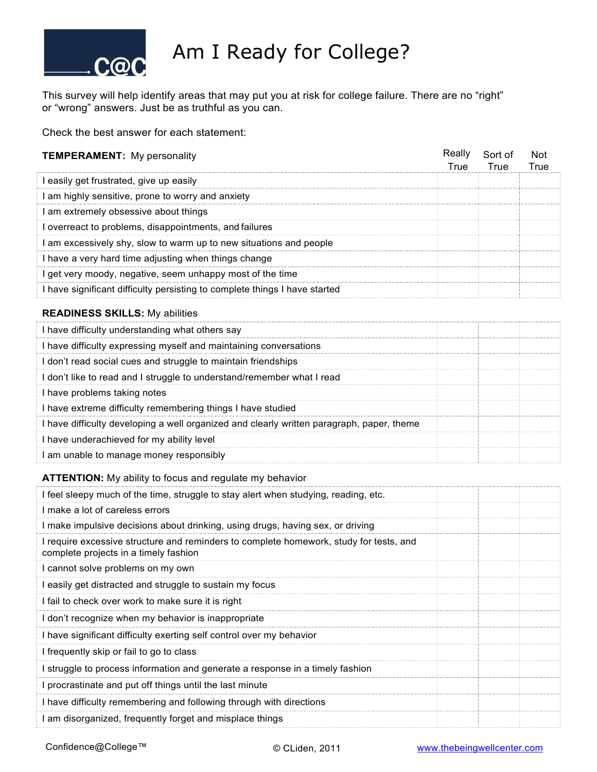

## Am I Ready for College?

This survey will help identify areas that may put you at risk for college failure. There are no "right" or "wrong" answers. Just be as truthful as you can.

Check the best answer for each statement:

| <b>TEMPERAMENT:</b> My personality                                       | Really<br>True | Sort of<br>True | <b>Not</b><br>True |
|--------------------------------------------------------------------------|----------------|-----------------|--------------------|
| easily get frustrated, give up easily                                    |                |                 |                    |
| am highly sensitive, prone to worry and anxiety                          |                |                 |                    |
| am extremely obsessive about things                                      |                |                 |                    |
| overreact to problems, disappointments, and failures                     |                |                 |                    |
| am excessively shy, slow to warm up to new situations and people         |                |                 |                    |
| have a very hard time adjusting when things change                       |                |                 |                    |
| get very moody, negative, seem unhappy most of the time                  |                |                 |                    |
| have significant difficulty persisting to complete things I have started |                |                 |                    |

## **READINESS SKILLS:** My abilities

| I have difficulty understanding what others say                                         |  |  |
|-----------------------------------------------------------------------------------------|--|--|
| I have difficulty expressing myself and maintaining conversations                       |  |  |
| don't read social cues and struggle to maintain friendships                             |  |  |
| don't like to read and I struggle to understand/remember what I read                    |  |  |
| I have problems taking notes                                                            |  |  |
| I have extreme difficulty remembering things I have studied                             |  |  |
| have difficulty developing a well organized and clearly written paragraph, paper, theme |  |  |
| l have underachieved for my ability level                                               |  |  |
| am unable to manage money responsibly                                                   |  |  |

## **ATTENTION:** My ability to focus and regulate my behavior

| I feel sleepy much of the time, struggle to stay alert when studying, reading, etc.                                             |
|---------------------------------------------------------------------------------------------------------------------------------|
| I make a lot of careless errors                                                                                                 |
| I make impulsive decisions about drinking, using drugs, having sex, or driving                                                  |
| I require excessive structure and reminders to complete homework, study for tests, and<br>complete projects in a timely fashion |
| I cannot solve problems on my own                                                                                               |
| I easily get distracted and struggle to sustain my focus                                                                        |
| I fail to check over work to make sure it is right                                                                              |
| I don't recognize when my behavior is inappropriate                                                                             |
| I have significant difficulty exerting self control over my behavior                                                            |
| I frequently skip or fail to go to class                                                                                        |
| I struggle to process information and generate a response in a timely fashion                                                   |
| I procrastinate and put off things until the last minute                                                                        |
| I have difficulty remembering and following through with directions                                                             |
| I am disorganized, frequently forget and misplace things                                                                        |